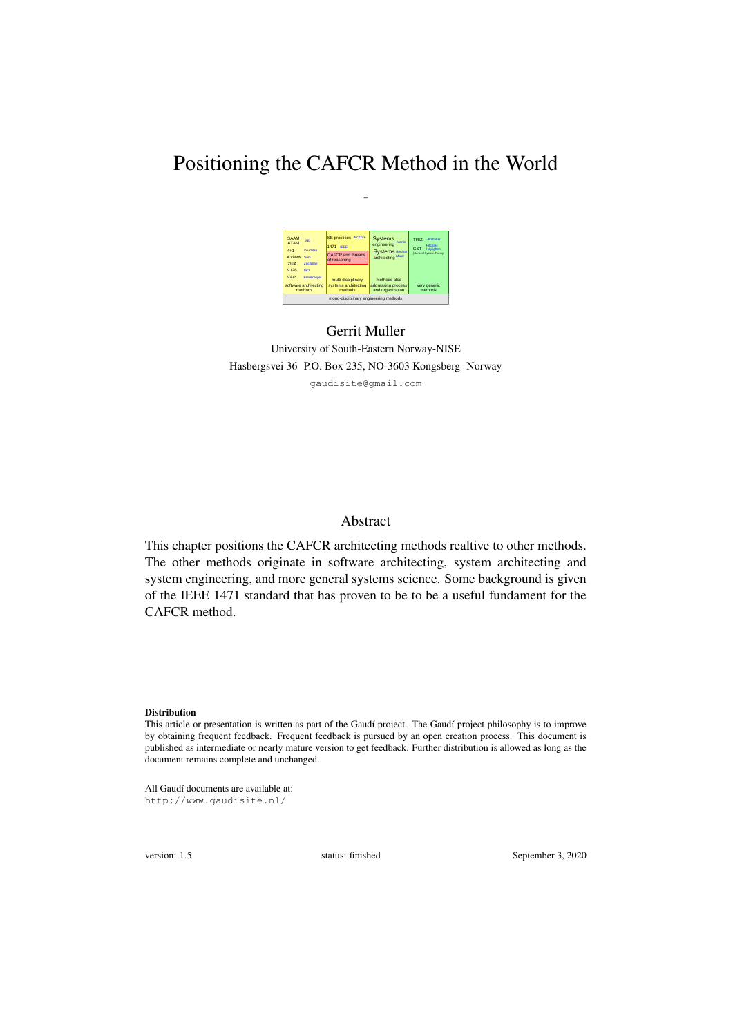# Positioning the CAFCR Method in the World

*-*



### Gerrit Muller University of South-Eastern Norway-NISE Hasbergsvei 36 P.O. Box 235, NO-3603 Kongsberg Norway gaudisite@gmail.com

#### Abstract

This chapter positions the CAFCR architecting methods realtive to other methods. The other methods originate in software architecting, system architecting and system engineering, and more general systems science. Some background is given of the IEEE 1471 standard that has proven to be to be a useful fundament for the CAFCR method.

#### Distribution

All Gaudí documents are available at: http://www.gaudisite.nl/

version: 1.5 status: finished September 3, 2020

This article or presentation is written as part of the Gaudí project. The Gaudí project philosophy is to improve by obtaining frequent feedback. Frequent feedback is pursued by an open creation process. This document is published as intermediate or nearly mature version to get feedback. Further distribution is allowed as long as the document remains complete and unchanged.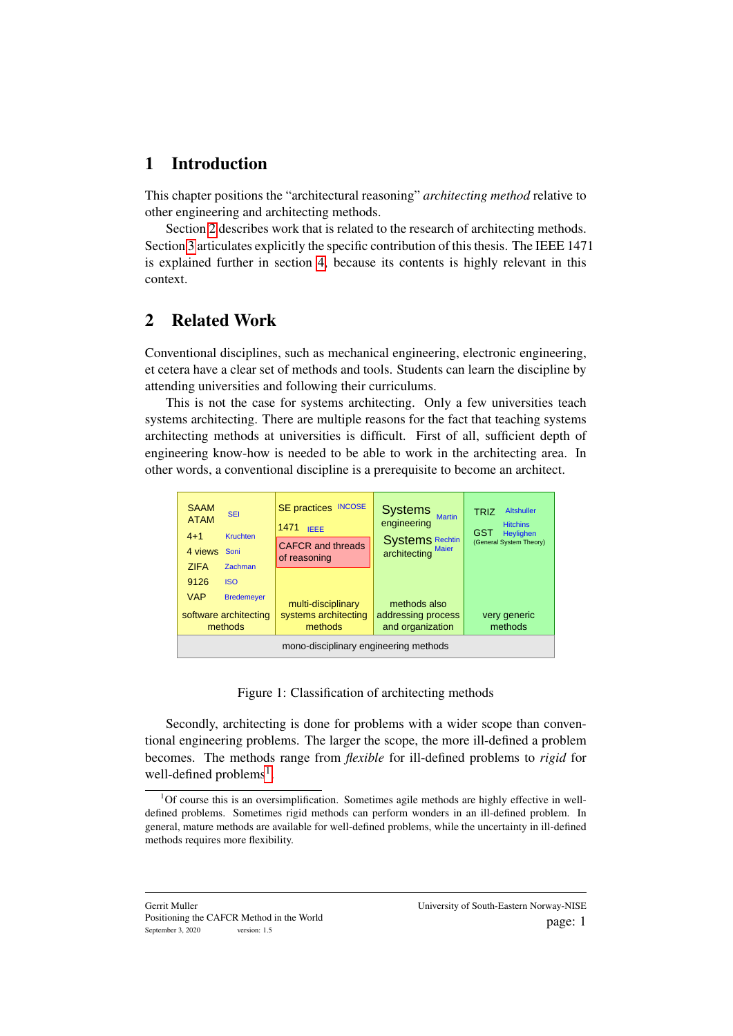### 1 Introduction

This chapter positions the "architectural reasoning" *architecting method* relative to other engineering and architecting methods.

Section [2](#page-1-0) describes work that is related to the research of architecting methods. Section [3](#page-3-0) articulates explicitly the specific contribution of this thesis. The IEEE 1471 is explained further in section [4,](#page-5-0) because its contents is highly relevant in this context.

## <span id="page-1-0"></span>2 Related Work

Conventional disciplines, such as mechanical engineering, electronic engineering, et cetera have a clear set of methods and tools. Students can learn the discipline by attending universities and following their curriculums.

This is not the case for systems architecting. Only a few universities teach systems architecting. There are multiple reasons for the fact that teaching systems architecting methods at universities is difficult. First of all, sufficient depth of engineering know-how is needed to be able to work in the architecting area. In other words, a conventional discipline is a prerequisite to become an architect.

| <b>SAAM</b><br><b>SEI</b><br><b>ATAM</b><br>$4 + 1$<br><b>Kruchten</b><br>4 views Soni<br><b>ZIFA</b><br>Zachman | <b>INCOSE</b><br><b>SE</b> practices<br>1471<br><b>IEEE</b><br><b>CAFCR</b> and threads<br>of reasoning | <b>Systems</b><br><b>Martin</b><br>engineering<br>Systems Rechtin<br>architecting Maier | <b>Altshuller</b><br><b>TRIZ</b><br><b>Hitchins</b><br>GST<br>Heylighen<br>(General System Theory) |
|------------------------------------------------------------------------------------------------------------------|---------------------------------------------------------------------------------------------------------|-----------------------------------------------------------------------------------------|----------------------------------------------------------------------------------------------------|
| 9126<br><b>ISO</b>                                                                                               |                                                                                                         |                                                                                         |                                                                                                    |
| <b>VAP</b><br><b>Bredemeyer</b><br>software architecting<br>methods                                              | multi-disciplinary<br>systems architecting<br>methods                                                   | methods also<br>addressing process<br>and organization                                  | very generic<br>methods                                                                            |
| mono-disciplinary engineering methods                                                                            |                                                                                                         |                                                                                         |                                                                                                    |

<span id="page-1-2"></span>Figure 1: Classification of architecting methods

Secondly, architecting is done for problems with a wider scope than conventional engineering problems. The larger the scope, the more ill-defined a problem becomes. The methods range from *flexible* for ill-defined problems to *rigid* for well-defined problems<sup>[1](#page-1-1)</sup>.

<span id="page-1-1"></span><sup>&</sup>lt;sup>1</sup>Of course this is an oversimplification. Sometimes agile methods are highly effective in welldefined problems. Sometimes rigid methods can perform wonders in an ill-defined problem. In general, mature methods are available for well-defined problems, while the uncertainty in ill-defined methods requires more flexibility.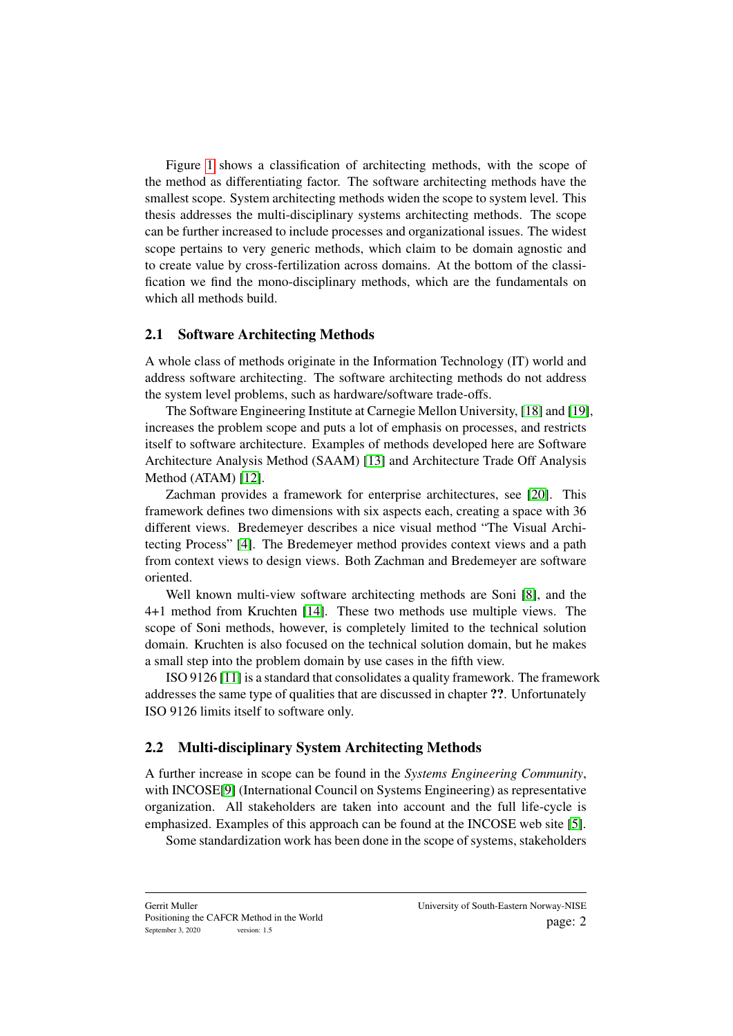Figure [1](#page-1-2) shows a classification of architecting methods, with the scope of the method as differentiating factor. The software architecting methods have the smallest scope. System architecting methods widen the scope to system level. This thesis addresses the multi-disciplinary systems architecting methods. The scope can be further increased to include processes and organizational issues. The widest scope pertains to very generic methods, which claim to be domain agnostic and to create value by cross-fertilization across domains. At the bottom of the classification we find the mono-disciplinary methods, which are the fundamentals on which all methods build.

#### <span id="page-2-0"></span>2.1 Software Architecting Methods

A whole class of methods originate in the Information Technology (IT) world and address software architecting. The software architecting methods do not address the system level problems, such as hardware/software trade-offs.

The Software Engineering Institute at Carnegie Mellon University, [\[18\]](#page-8-0) and [\[19\]](#page-8-1), increases the problem scope and puts a lot of emphasis on processes, and restricts itself to software architecture. Examples of methods developed here are Software Architecture Analysis Method (SAAM) [\[13\]](#page-8-2) and Architecture Trade Off Analysis Method (ATAM) [\[12\]](#page-7-0).

Zachman provides a framework for enterprise architectures, see [\[20\]](#page-8-3). This framework defines two dimensions with six aspects each, creating a space with 36 different views. Bredemeyer describes a nice visual method "The Visual Architecting Process" [\[4\]](#page-7-1). The Bredemeyer method provides context views and a path from context views to design views. Both Zachman and Bredemeyer are software oriented.

Well known multi-view software architecting methods are Soni [\[8\]](#page-7-2), and the 4+1 method from Kruchten [\[14\]](#page-8-4). These two methods use multiple views. The scope of Soni methods, however, is completely limited to the technical solution domain. Kruchten is also focused on the technical solution domain, but he makes a small step into the problem domain by use cases in the fifth view.

ISO 9126 [\[11\]](#page-7-3) is a standard that consolidates a quality framework. The framework addresses the same type of qualities that are discussed in chapter ??. Unfortunately ISO 9126 limits itself to software only.

#### 2.2 Multi-disciplinary System Architecting Methods

A further increase in scope can be found in the *Systems Engineering Community*, with INCOSE[\[9\]](#page-7-4) (International Council on Systems Engineering) as representative organization. All stakeholders are taken into account and the full life-cycle is emphasized. Examples of this approach can be found at the INCOSE web site [\[5\]](#page-7-5).

Some standardization work has been done in the scope of systems, stakeholders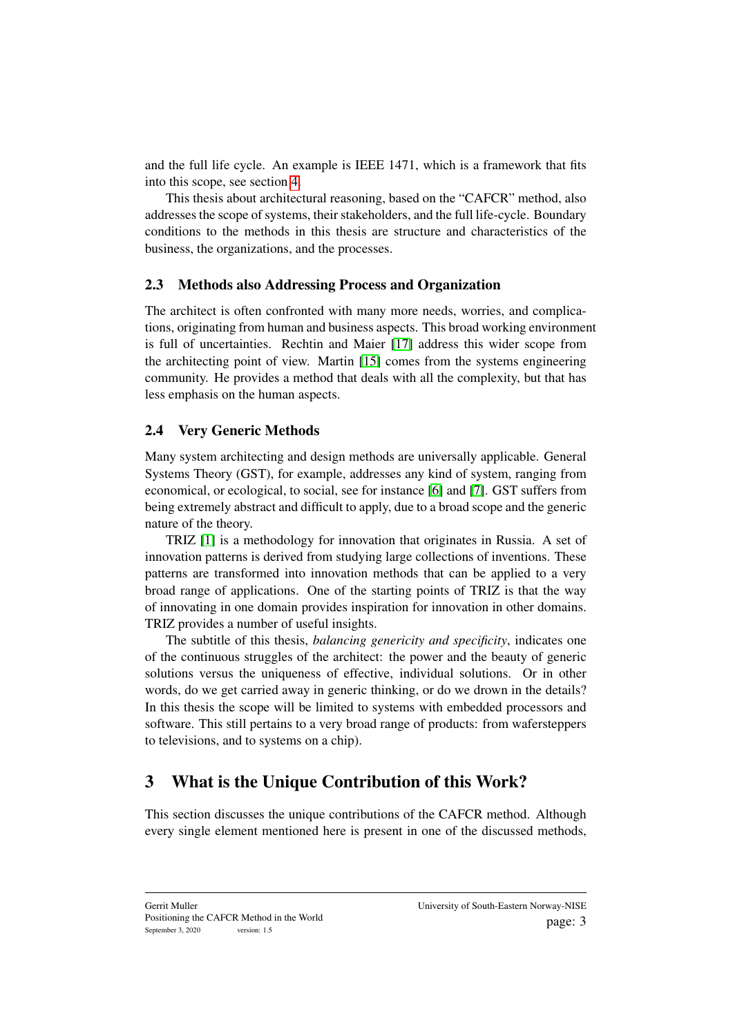and the full life cycle. An example is IEEE 1471, which is a framework that fits into this scope, see section [4.](#page-5-0)

This thesis about architectural reasoning, based on the "CAFCR" method, also addresses the scope of systems, their stakeholders, and the full life-cycle. Boundary conditions to the methods in this thesis are structure and characteristics of the business, the organizations, and the processes.

#### 2.3 Methods also Addressing Process and Organization

The architect is often confronted with many more needs, worries, and complications, originating from human and business aspects. This broad working environment is full of uncertainties. Rechtin and Maier [\[17\]](#page-8-5) address this wider scope from the architecting point of view. Martin [\[15\]](#page-8-6) comes from the systems engineering community. He provides a method that deals with all the complexity, but that has less emphasis on the human aspects.

### 2.4 Very Generic Methods

Many system architecting and design methods are universally applicable. General Systems Theory (GST), for example, addresses any kind of system, ranging from economical, or ecological, to social, see for instance [\[6\]](#page-7-6) and [\[7\]](#page-7-7). GST suffers from being extremely abstract and difficult to apply, due to a broad scope and the generic nature of the theory.

TRIZ [\[1\]](#page-7-8) is a methodology for innovation that originates in Russia. A set of innovation patterns is derived from studying large collections of inventions. These patterns are transformed into innovation methods that can be applied to a very broad range of applications. One of the starting points of TRIZ is that the way of innovating in one domain provides inspiration for innovation in other domains. TRIZ provides a number of useful insights.

The subtitle of this thesis, *balancing genericity and specificity*, indicates one of the continuous struggles of the architect: the power and the beauty of generic solutions versus the uniqueness of effective, individual solutions. Or in other words, do we get carried away in generic thinking, or do we drown in the details? In this thesis the scope will be limited to systems with embedded processors and software. This still pertains to a very broad range of products: from wafersteppers to televisions, and to systems on a chip).

### <span id="page-3-0"></span>3 What is the Unique Contribution of this Work?

This section discusses the unique contributions of the CAFCR method. Although every single element mentioned here is present in one of the discussed methods,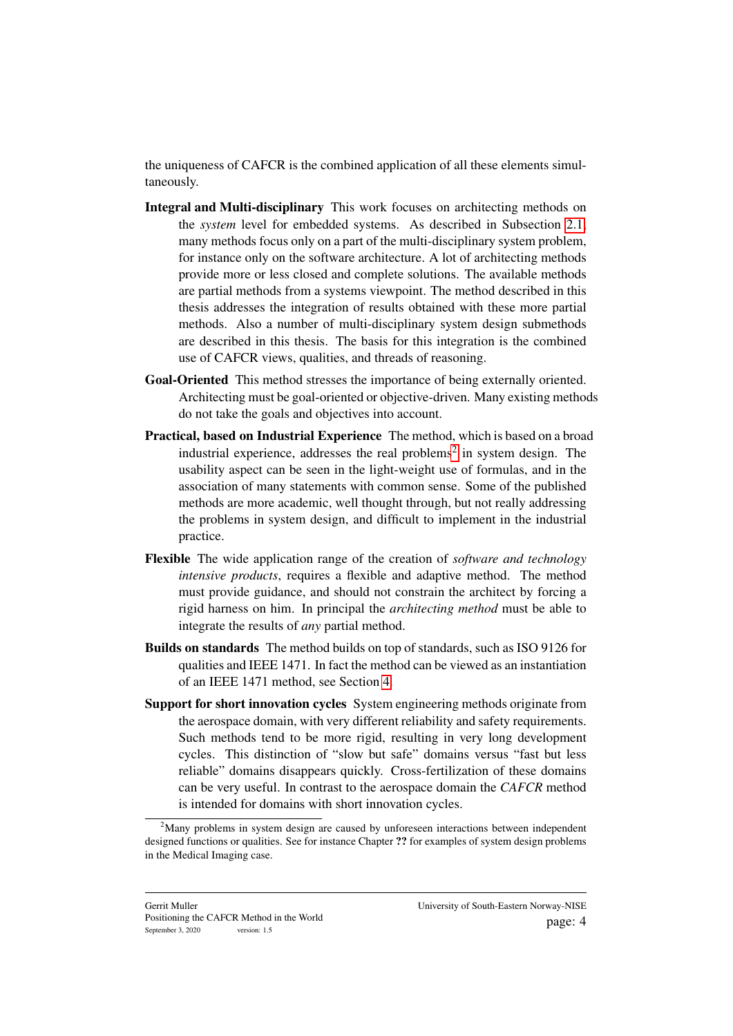the uniqueness of CAFCR is the combined application of all these elements simultaneously.

- Integral and Multi-disciplinary This work focuses on architecting methods on the *system* level for embedded systems. As described in Subsection [2.1,](#page-2-0) many methods focus only on a part of the multi-disciplinary system problem, for instance only on the software architecture. A lot of architecting methods provide more or less closed and complete solutions. The available methods are partial methods from a systems viewpoint. The method described in this thesis addresses the integration of results obtained with these more partial methods. Also a number of multi-disciplinary system design submethods are described in this thesis. The basis for this integration is the combined use of CAFCR views, qualities, and threads of reasoning.
- Goal-Oriented This method stresses the importance of being externally oriented. Architecting must be goal-oriented or objective-driven. Many existing methods do not take the goals and objectives into account.
- Practical, based on Industrial Experience The method, which is based on a broad industrial experience, addresses the real problems<sup>[2](#page-4-0)</sup> in system design. The usability aspect can be seen in the light-weight use of formulas, and in the association of many statements with common sense. Some of the published methods are more academic, well thought through, but not really addressing the problems in system design, and difficult to implement in the industrial practice.
- Flexible The wide application range of the creation of *software and technology intensive products*, requires a flexible and adaptive method. The method must provide guidance, and should not constrain the architect by forcing a rigid harness on him. In principal the *architecting method* must be able to integrate the results of *any* partial method.
- Builds on standards The method builds on top of standards, such as ISO 9126 for qualities and IEEE 1471. In fact the method can be viewed as an instantiation of an IEEE 1471 method, see Section [4.](#page-5-0)
- Support for short innovation cycles System engineering methods originate from the aerospace domain, with very different reliability and safety requirements. Such methods tend to be more rigid, resulting in very long development cycles. This distinction of "slow but safe" domains versus "fast but less reliable" domains disappears quickly. Cross-fertilization of these domains can be very useful. In contrast to the aerospace domain the *CAFCR* method is intended for domains with short innovation cycles.

<span id="page-4-0"></span> $2<sup>2</sup>$ Many problems in system design are caused by unforeseen interactions between independent designed functions or qualities. See for instance Chapter ?? for examples of system design problems in the Medical Imaging case.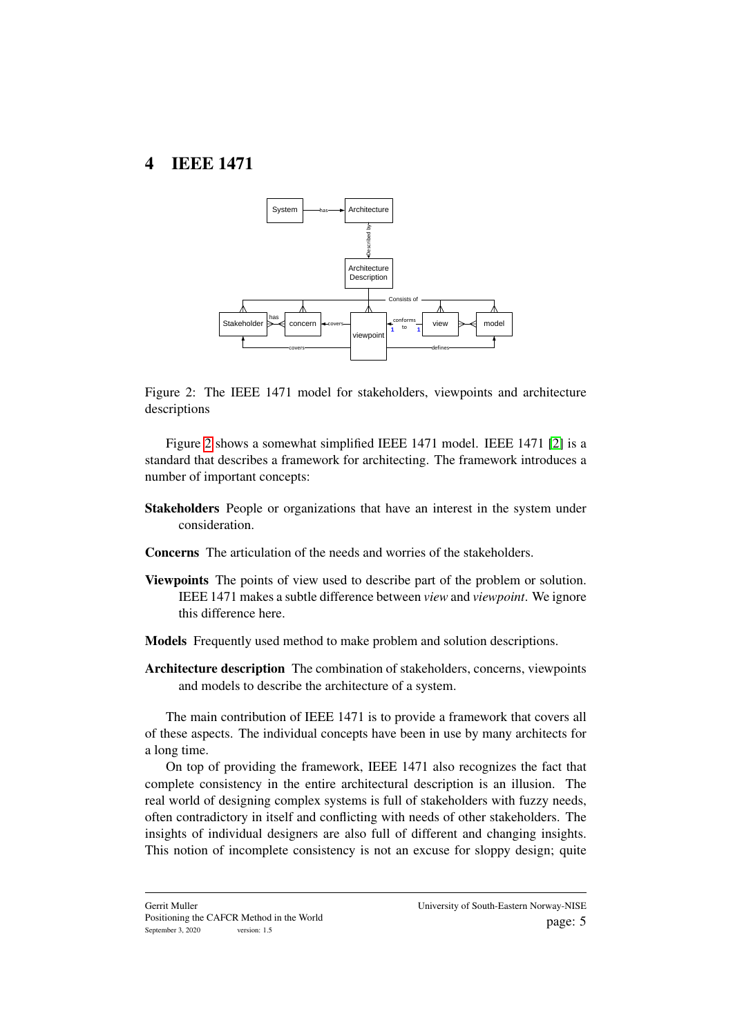### <span id="page-5-0"></span>4 IEEE 1471



<span id="page-5-1"></span>Figure 2: The IEEE 1471 model for stakeholders, viewpoints and architecture descriptions

Figure [2](#page-5-1) shows a somewhat simplified IEEE 1471 model. IEEE 1471 [\[2\]](#page-7-9) is a standard that describes a framework for architecting. The framework introduces a number of important concepts:

- Stakeholders People or organizations that have an interest in the system under consideration.
- Concerns The articulation of the needs and worries of the stakeholders.
- Viewpoints The points of view used to describe part of the problem or solution. IEEE 1471 makes a subtle difference between *view* and *viewpoint*. We ignore this difference here.
- Models Frequently used method to make problem and solution descriptions.
- Architecture description The combination of stakeholders, concerns, viewpoints and models to describe the architecture of a system.

The main contribution of IEEE 1471 is to provide a framework that covers all of these aspects. The individual concepts have been in use by many architects for a long time.

On top of providing the framework, IEEE 1471 also recognizes the fact that complete consistency in the entire architectural description is an illusion. The real world of designing complex systems is full of stakeholders with fuzzy needs, often contradictory in itself and conflicting with needs of other stakeholders. The insights of individual designers are also full of different and changing insights. This notion of incomplete consistency is not an excuse for sloppy design; quite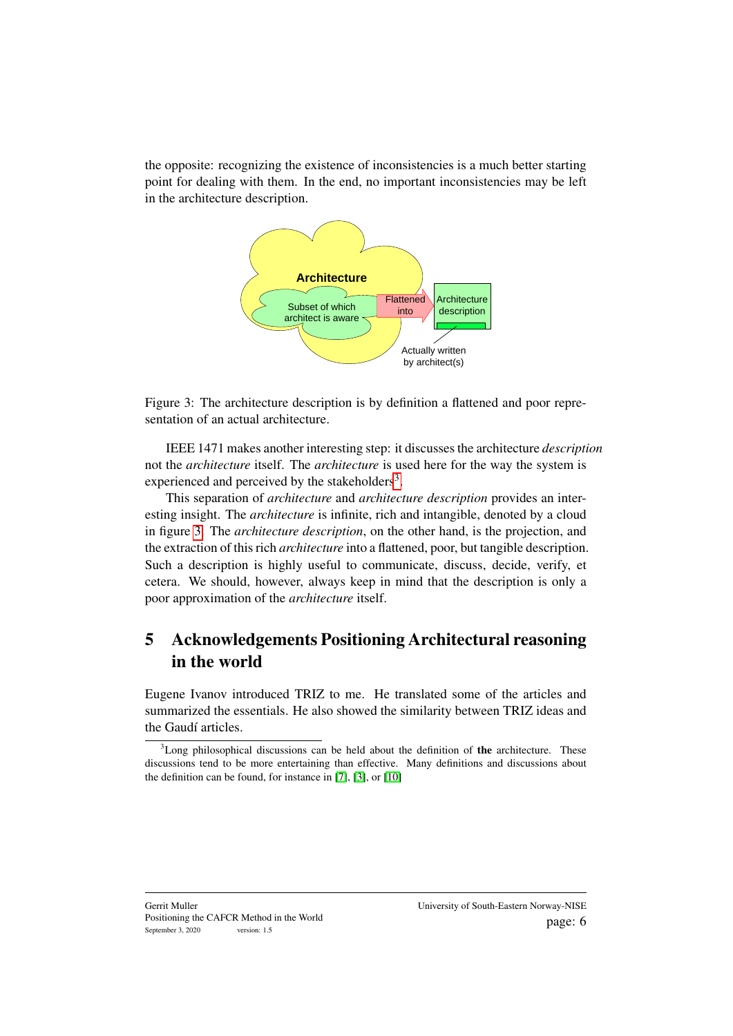the opposite: recognizing the existence of inconsistencies is a much better starting point for dealing with them. In the end, no important inconsistencies may be left in the architecture description.



<span id="page-6-1"></span>Figure 3: The architecture description is by definition a flattened and poor representation of an actual architecture.

IEEE 1471 makes another interesting step: it discusses the architecture *description* not the *architecture* itself. The *architecture* is used here for the way the system is experienced and perceived by the stakeholders<sup>[3](#page-6-0)</sup>.

This separation of *architecture* and *architecture description* provides an interesting insight. The *architecture* is infinite, rich and intangible, denoted by a cloud in figure [3.](#page-6-1) The *architecture description*, on the other hand, is the projection, and the extraction of this rich *architecture* into a flattened, poor, but tangible description. Such a description is highly useful to communicate, discuss, decide, verify, et cetera. We should, however, always keep in mind that the description is only a poor approximation of the *architecture* itself.

## 5 Acknowledgements Positioning Architectural reasoning in the world

Eugene Ivanov introduced TRIZ to me. He translated some of the articles and summarized the essentials. He also showed the similarity between TRIZ ideas and the Gaudí articles.

<span id="page-6-0"></span> $3$ Long philosophical discussions can be held about the definition of the architecture. These discussions tend to be more entertaining than effective. Many definitions and discussions about the definition can be found, for instance in [\[7\]](#page-7-7), [\[3\]](#page-7-10), or [\[10\]](#page-7-11)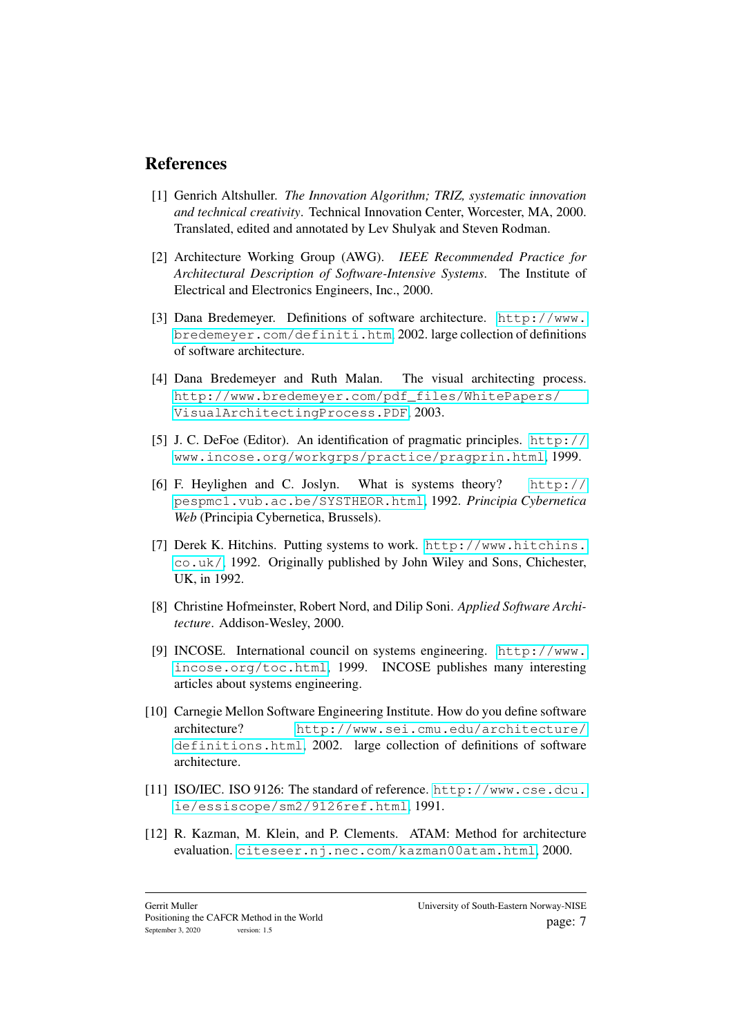### References

- <span id="page-7-8"></span>[1] Genrich Altshuller. *The Innovation Algorithm; TRIZ, systematic innovation and technical creativity*. Technical Innovation Center, Worcester, MA, 2000. Translated, edited and annotated by Lev Shulyak and Steven Rodman.
- <span id="page-7-9"></span>[2] Architecture Working Group (AWG). *IEEE Recommended Practice for Architectural Description of Software-Intensive Systems*. The Institute of Electrical and Electronics Engineers, Inc., 2000.
- <span id="page-7-10"></span>[3] Dana Bredemeyer. Definitions of software architecture. [http://www.](http://www.bredemeyer.com/definiti.htm) [bredemeyer.com/definiti.htm](http://www.bredemeyer.com/definiti.htm), 2002. large collection of definitions of software architecture.
- <span id="page-7-1"></span>[4] Dana Bredemeyer and Ruth Malan. The visual architecting process. [http://www.bredemeyer.com/pdf\\_files/WhitePapers/](http://www.bredemeyer.com/pdf_files/WhitePapers/VisualArchitectingProcess.PDF) [VisualArchitectingProcess.PDF](http://www.bredemeyer.com/pdf_files/WhitePapers/VisualArchitectingProcess.PDF), 2003.
- <span id="page-7-5"></span>[5] J. C. DeFoe (Editor). An identification of pragmatic principles. [http://](http://www.incose.org/workgrps/practice/pragprin.html) [www.incose.org/workgrps/practice/pragprin.html](http://www.incose.org/workgrps/practice/pragprin.html), 1999.
- <span id="page-7-6"></span>[6] F. Heylighen and C. Joslyn. What is systems theory? [http://](http://pespmc1.vub.ac.be/SYSTHEOR.html) [pespmc1.vub.ac.be/SYSTHEOR.html](http://pespmc1.vub.ac.be/SYSTHEOR.html), 1992. *Principia Cybernetica Web* (Principia Cybernetica, Brussels).
- <span id="page-7-7"></span>[7] Derek K. Hitchins. Putting systems to work. [http://www.hitchins.](http://www.hitchins.co.uk/) [co.uk/](http://www.hitchins.co.uk/), 1992. Originally published by John Wiley and Sons, Chichester, UK, in 1992.
- <span id="page-7-2"></span>[8] Christine Hofmeinster, Robert Nord, and Dilip Soni. *Applied Software Architecture*. Addison-Wesley, 2000.
- <span id="page-7-4"></span>[9] INCOSE. International council on systems engineering. [http://www.](http://www.incose.org/toc.html) [incose.org/toc.html](http://www.incose.org/toc.html), 1999. INCOSE publishes many interesting articles about systems engineering.
- <span id="page-7-11"></span>[10] Carnegie Mellon Software Engineering Institute. How do you define software architecture? [http://www.sei.cmu.edu/architecture/](http://www.sei.cmu.edu/architecture/definitions.html) [definitions.html](http://www.sei.cmu.edu/architecture/definitions.html), 2002. large collection of definitions of software architecture.
- <span id="page-7-3"></span>[11] ISO/IEC. ISO 9126: The standard of reference. [http://www.cse.dcu.](http://www.cse.dcu.ie/essiscope/sm2/9126ref.html) [ie/essiscope/sm2/9126ref.html](http://www.cse.dcu.ie/essiscope/sm2/9126ref.html), 1991.
- <span id="page-7-0"></span>[12] R. Kazman, M. Klein, and P. Clements. ATAM: Method for architecture evaluation. <citeseer.nj.nec.com/kazman00atam.html>, 2000.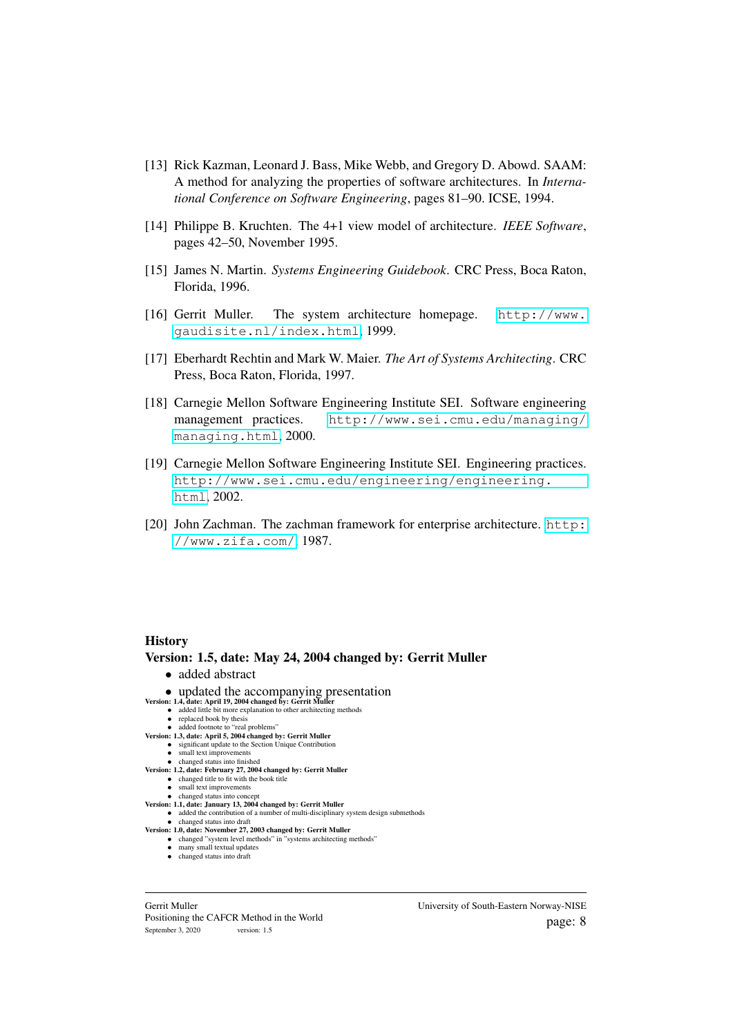- <span id="page-8-2"></span>[13] Rick Kazman, Leonard J. Bass, Mike Webb, and Gregory D. Abowd. SAAM: A method for analyzing the properties of software architectures. In *International Conference on Software Engineering*, pages 81–90. ICSE, 1994.
- <span id="page-8-4"></span>[14] Philippe B. Kruchten. The 4+1 view model of architecture. *IEEE Software*, pages 42–50, November 1995.
- <span id="page-8-6"></span>[15] James N. Martin. *Systems Engineering Guidebook*. CRC Press, Boca Raton, Florida, 1996.
- [16] Gerrit Muller. The system architecture homepage. [http://www.](http://www.gaudisite.nl/index.html) [gaudisite.nl/index.html](http://www.gaudisite.nl/index.html), 1999.
- <span id="page-8-5"></span>[17] Eberhardt Rechtin and Mark W. Maier. *The Art of Systems Architecting*. CRC Press, Boca Raton, Florida, 1997.
- <span id="page-8-0"></span>[18] Carnegie Mellon Software Engineering Institute SEI. Software engineering management practices. [http://www.sei.cmu.edu/managing/](http://www.sei.cmu.edu/managing/managing.html) [managing.html](http://www.sei.cmu.edu/managing/managing.html), 2000.
- <span id="page-8-1"></span>[19] Carnegie Mellon Software Engineering Institute SEI. Engineering practices. [http://www.sei.cmu.edu/engineering/engineering.](http://www.sei.cmu.edu/engineering/engineering.html) [html](http://www.sei.cmu.edu/engineering/engineering.html), 2002.
- <span id="page-8-3"></span>[20] John Zachman. The zachman framework for enterprise architecture. [http:](http://www.zifa.com/) [//www.zifa.com/](http://www.zifa.com/), 1987.

#### **History**

Version: 1.5, date: May 24, 2004 changed by: Gerrit Muller • added abstract • updated the accompanying presentation Version: 1.4, date: April 19, 2004 changed by: Gerrit Muller • added little bit more explanation to other architecting methods<br>• replaced book by thesis • added footnote to "real problems" Version: 1.3, date: April 5, 2004 changed by: Gerrit Muller • significant update to the Section Unique Contribution<br>• small text improvements • changed status into finished Version: 1.2, date: February 27, 2004 changed by: Gerrit Muller • changed title to fit with the book title<br>• small text improvements • changed status into concept Version: 1.1, date: January 13, 2004 changed by: Gerrit Muller • added the contribution of a number of multi-disciplinary system design submethods • changed status into draft Version: 1.0, date: November 27, 2003 changed by: Gerrit Muller<br>
• changed "system architecting methods"<br>
• many small textual updates

- 
- changed status into draft

Gerrit Muller Positioning the CAFCR Method in the World September 3, 2020 version: 1.5